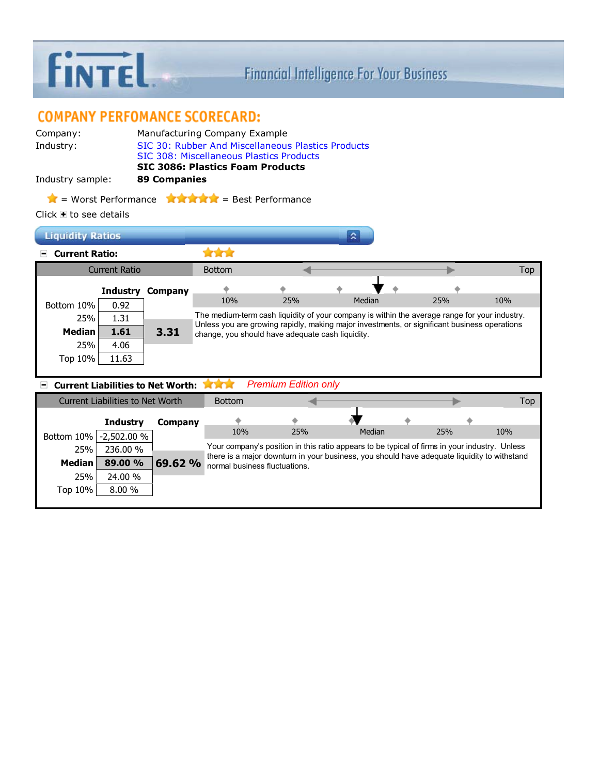

## **COMPANY PERFOMANCE SCORECARD:**

| Company:         | Manufacturing Company Example                      |
|------------------|----------------------------------------------------|
| Industry:        | SIC 30: Rubber And Miscellaneous Plastics Products |
|                  | SIC 308: Miscellaneous Plastics Products           |
|                  | <b>SIC 3086: Plastics Foam Products</b>            |
| Industry sample: | 89 Companies                                       |
|                  |                                                    |

 $\triangle$  = Worst Performance  $\triangle$   $\triangle$   $\triangle$   $\triangle$  = Best Performance

Click  $\blacksquare$  to see details

| <b>Liquidity Ratios</b>     |               |                         |                                                                                                                                                                                               |     |        |  |     |            |  |  |
|-----------------------------|---------------|-------------------------|-----------------------------------------------------------------------------------------------------------------------------------------------------------------------------------------------|-----|--------|--|-----|------------|--|--|
| <b>Current Ratio:</b><br>H. |               |                         |                                                                                                                                                                                               |     |        |  |     |            |  |  |
|                             | Current Ratio |                         | <b>Bottom</b>                                                                                                                                                                                 |     |        |  |     | <b>Top</b> |  |  |
|                             |               | <b>Industry Company</b> |                                                                                                                                                                                               |     |        |  |     |            |  |  |
| Bottom 10%                  | 0.92          |                         | 10%                                                                                                                                                                                           | 25% | Median |  | 25% | 10%        |  |  |
| 25%                         | 1.31          |                         | The medium-term cash liquidity of your company is within the average range for your industry.<br>Unless you are growing rapidly, making major investments, or significant business operations |     |        |  |     |            |  |  |
| <b>Median</b>               | 1.61          | 3.31                    | change, you should have adequate cash liquidity.                                                                                                                                              |     |        |  |     |            |  |  |
| 25%                         | 4.06          |                         |                                                                                                                                                                                               |     |        |  |     |            |  |  |
| Top 10%                     | 11.63         |                         |                                                                                                                                                                                               |     |        |  |     |            |  |  |
|                             |               |                         |                                                                                                                                                                                               |     |        |  |     |            |  |  |

| <b>Premium Edition only</b> |
|-----------------------------|
|                             |

| Current Liabilities to Net Worth |                 |         | <b>Bottom</b>                 |     |                                                                                               |            | Top |
|----------------------------------|-----------------|---------|-------------------------------|-----|-----------------------------------------------------------------------------------------------|------------|-----|
|                                  | <b>Industry</b> | Company |                               |     |                                                                                               |            |     |
| Bottom 10%                       | $-2,502.00%$    |         | 10%                           | 25% | Median                                                                                        | <b>25%</b> | 10% |
| 25%                              | 236.00 %        |         |                               |     | Your company's position in this ratio appears to be typical of firms in your industry. Unless |            |     |
| <b>Median</b>                    | 89.00 %         | 69.62 % | normal business fluctuations. |     | there is a major downturn in your business, you should have adequate liquidity to withstand   |            |     |
| 25%                              | 24.00 %         |         |                               |     |                                                                                               |            |     |
| Top 10%                          | 8.00%           |         |                               |     |                                                                                               |            |     |
|                                  |                 |         |                               |     |                                                                                               |            |     |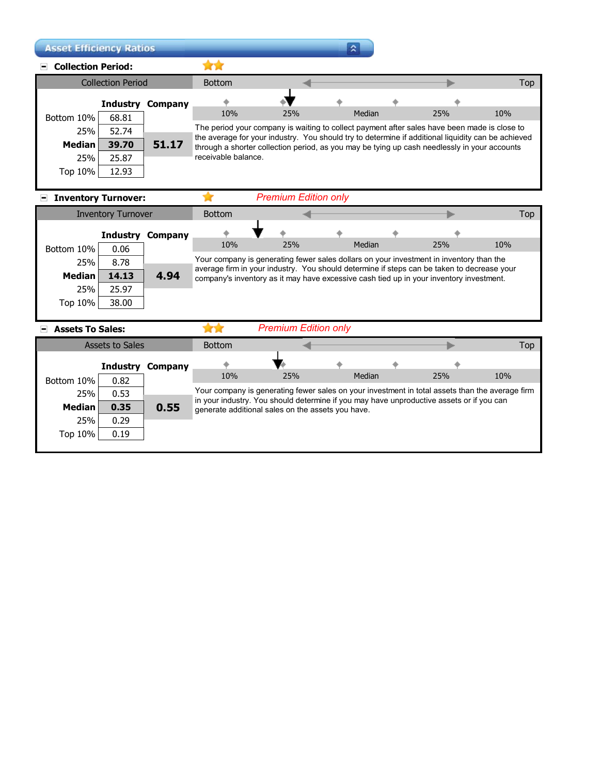| <b>Asset Efficiency Ratios</b>  |                          |                         |                                                                                                                                                                                                    |                                                                                              | ≈      |     |            |
|---------------------------------|--------------------------|-------------------------|----------------------------------------------------------------------------------------------------------------------------------------------------------------------------------------------------|----------------------------------------------------------------------------------------------|--------|-----|------------|
| <b>Collection Period:</b><br>H. |                          |                         |                                                                                                                                                                                                    |                                                                                              |        |     |            |
|                                 | <b>Collection Period</b> |                         | <b>Bottom</b>                                                                                                                                                                                      |                                                                                              |        |     | <b>Top</b> |
|                                 |                          | <b>Industry Company</b> |                                                                                                                                                                                                    |                                                                                              |        |     |            |
| Bottom 10%                      | 68.81                    |                         | 10%                                                                                                                                                                                                | 25%                                                                                          | Median | 25% | 10%        |
| 25%                             | 52.74                    |                         |                                                                                                                                                                                                    | The period your company is waiting to collect payment after sales have been made is close to |        |     |            |
| <b>Median</b>                   | 39.70                    | 51.17                   | the average for your industry. You should try to determine if additional liquidity can be achieved<br>through a shorter collection period, as you may be tying up cash needlessly in your accounts |                                                                                              |        |     |            |
| 25%                             | 25.87                    |                         | receivable balance.                                                                                                                                                                                |                                                                                              |        |     |            |
| Top 10%                         | 12.93                    |                         |                                                                                                                                                                                                    |                                                                                              |        |     |            |

## **Inventory Turnover:**

★

| <b>Inventory Turnover</b> |          |         | <b>Bottom</b>                                                                                                                                                                         |                             |        |     |                                                                                         | Top |  |
|---------------------------|----------|---------|---------------------------------------------------------------------------------------------------------------------------------------------------------------------------------------|-----------------------------|--------|-----|-----------------------------------------------------------------------------------------|-----|--|
|                           | Industry | Company |                                                                                                                                                                                       |                             |        |     |                                                                                         |     |  |
| Bottom 10%                | 0.06     |         | 10%                                                                                                                                                                                   | 25%                         | Median | 25% | 10%                                                                                     |     |  |
| 25%                       | 8.78     |         |                                                                                                                                                                                       |                             |        |     | Your company is generating fewer sales dollars on your investment in inventory than the |     |  |
| <b>Median</b>             | 14.13    | 4.94    | average firm in your industry. You should determine if steps can be taken to decrease your<br>company's inventory as it may have excessive cash tied up in your inventory investment. |                             |        |     |                                                                                         |     |  |
| 25%                       | 25.97    |         |                                                                                                                                                                                       |                             |        |     |                                                                                         |     |  |
| Top 10%                   | 38.00    |         |                                                                                                                                                                                       |                             |        |     |                                                                                         |     |  |
|                           |          |         |                                                                                                                                                                                       |                             |        |     |                                                                                         |     |  |
| <b>Assets To Sales:</b>   |          |         |                                                                                                                                                                                       | <b>Premium Edition only</b> |        |     |                                                                                         |     |  |

## **Assets To Sales:**

| Assets to Sales |                     | <b>Bottom</b> |                                                                                                 |                                                                                                                                               |        |  |     |     |  |
|-----------------|---------------------|---------------|-------------------------------------------------------------------------------------------------|-----------------------------------------------------------------------------------------------------------------------------------------------|--------|--|-----|-----|--|
|                 | Industry<br>Company |               |                                                                                                 |                                                                                                                                               |        |  |     |     |  |
| Bottom 10%      | 0.82                |               | 10%                                                                                             | 25%                                                                                                                                           | Median |  | 25% | 10% |  |
| 25%             | 0.53                |               | Your company is generating fewer sales on your investment in total assets than the average firm |                                                                                                                                               |        |  |     |     |  |
| <b>Median</b>   | 0.35                | 0.55          |                                                                                                 | in your industry. You should determine if you may have unproductive assets or if you can<br>generate additional sales on the assets you have. |        |  |     |     |  |
| 25%             | 0.29                |               |                                                                                                 |                                                                                                                                               |        |  |     |     |  |
| Top 10%         | 0.19                |               |                                                                                                 |                                                                                                                                               |        |  |     |     |  |
|                 |                     |               |                                                                                                 |                                                                                                                                               |        |  |     |     |  |